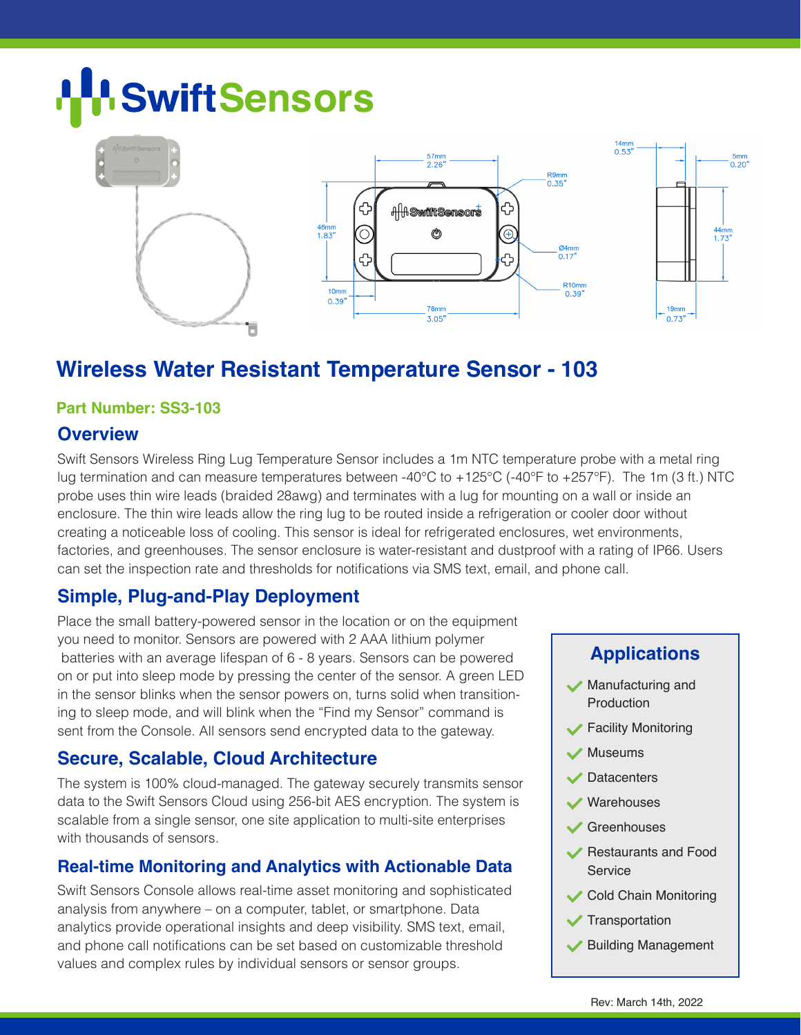# **SwiftSensors**



### **Wireless Water Resistant Temperature Sensor - 103**

#### **Part Number: SS3-103**

#### **Overview**

Swift Sensors Wireless Ring Lug Temperature Sensor includes a 1m NTC temperature probe with a metal ring lug termination and can measure temperatures between -40°C to +125°C (-40°F to +257°F). The 1m (3 ft.) NTC probe uses thin wire leads (braided 28awg) and terminates with a lug for mounting on a wall or inside an enclosure. The thin wire leads allow the ring lug to be routed inside a refrigeration or cooler door without creating a noticeable loss of cooling. This sensor is ideal for refrigerated enclosures, wet environments, factories, and greenhouses. The sensor enclosure is water-resistant and dustproof with a rating of IP66. Users can set the inspection rate and thresholds for notifications via SMS text, email, and phone call.

#### **Simple, Plug-and-Play Deployment**

Place the small battery-powered sensor in the location or on the equipment you need to monitor. Sensors are powered with 2 AAA lithium polymer batteries with an average lifespan of 6 - 8 years. Sensors can be powered on or put into sleep mode by pressing the center of the sensor. A green LED in the sensor blinks when the sensor powers on, turns solid when transitioning to sleep mode, and will blink when the "Find my Sensor" command is sent from the Console. All sensors send encrypted data to the gateway.

#### **Secure, Scalable, Cloud Architecture**

The system is 100% cloud-managed. The gateway securely transmits sensor data to the Swift Sensors Cloud using 256-bit AES encryption. The system is scalable from a single sensor, one site application to multi-site enterprises with thousands of sensors.

#### **Real-time Monitoring and Analytics with Actionable Data**

Swift Sensors Console allows real-time asset monitoring and sophisticated analysis from anywhere – on a computer, tablet, or smartphone. Data analytics provide operational insights and deep visibility. SMS text, email, and phone call notifications can be set based on customizable threshold values and complex rules by individual sensors or sensor groups.

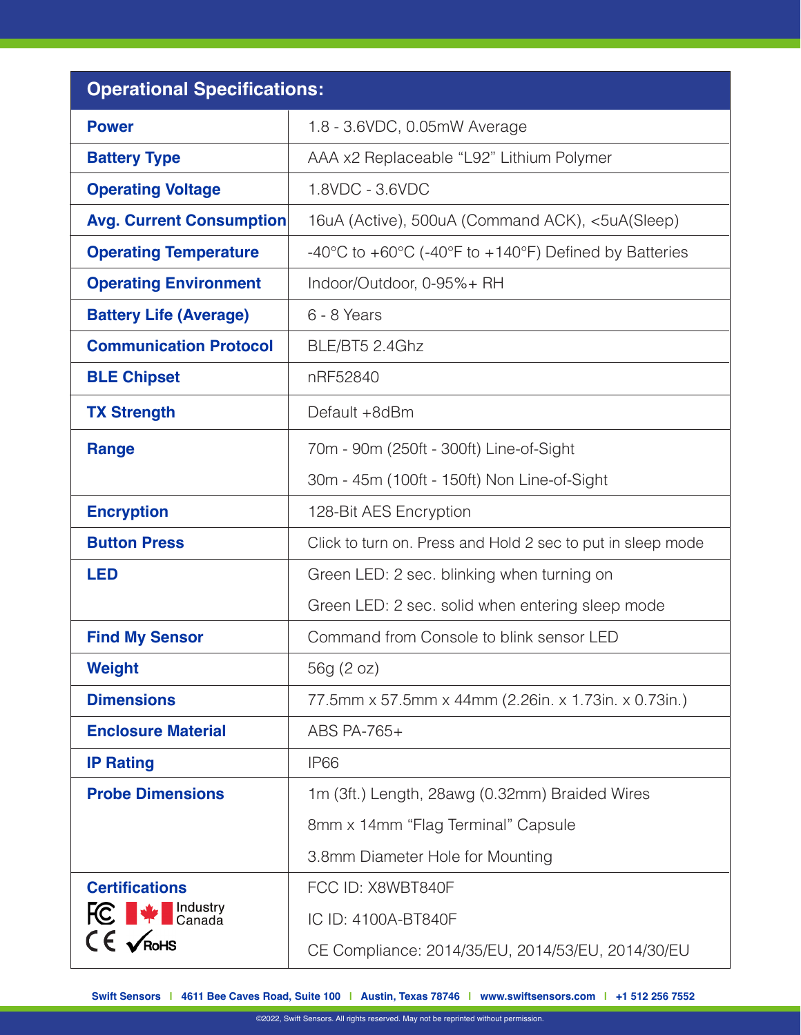| <b>Operational Specifications:</b>               |                                                                                               |
|--------------------------------------------------|-----------------------------------------------------------------------------------------------|
| <b>Power</b>                                     | 1.8 - 3.6VDC, 0.05mW Average                                                                  |
| <b>Battery Type</b>                              | AAA x2 Replaceable "L92" Lithium Polymer                                                      |
| <b>Operating Voltage</b>                         | 1.8VDC - 3.6VDC                                                                               |
| <b>Avg. Current Consumption</b>                  | 16uA (Active), 500uA (Command ACK), <5uA(Sleep)                                               |
| <b>Operating Temperature</b>                     | -40 $\degree$ C to +60 $\degree$ C (-40 $\degree$ F to +140 $\degree$ F) Defined by Batteries |
| <b>Operating Environment</b>                     | Indoor/Outdoor, 0-95%+ RH                                                                     |
| <b>Battery Life (Average)</b>                    | 6 - 8 Years                                                                                   |
| <b>Communication Protocol</b>                    | BLE/BT5 2.4Ghz                                                                                |
| <b>BLE Chipset</b>                               | nRF52840                                                                                      |
| <b>TX Strength</b>                               | Default +8dBm                                                                                 |
| <b>Range</b>                                     | 70m - 90m (250ft - 300ft) Line-of-Sight                                                       |
|                                                  | 30m - 45m (100ft - 150ft) Non Line-of-Sight                                                   |
| <b>Encryption</b>                                | 128-Bit AES Encryption                                                                        |
| <b>Button Press</b>                              | Click to turn on. Press and Hold 2 sec to put in sleep mode                                   |
| <b>LED</b>                                       | Green LED: 2 sec. blinking when turning on                                                    |
|                                                  | Green LED: 2 sec. solid when entering sleep mode                                              |
| <b>Find My Sensor</b>                            | Command from Console to blink sensor LED                                                      |
| <b>Weight</b>                                    | 56g (2 oz)                                                                                    |
| <b>Dimensions</b>                                | 77.5mm x 57.5mm x 44mm (2.26in. x 1.73in. x 0.73in.)                                          |
| <b>Enclosure Material</b>                        | ABS PA-765+                                                                                   |
| <b>IP Rating</b>                                 | <b>IP66</b>                                                                                   |
| <b>Probe Dimensions</b>                          | 1m (3ft.) Length, 28awg (0.32mm) Braided Wires                                                |
|                                                  | 8mm x 14mm "Flag Terminal" Capsule                                                            |
|                                                  | 3.8mm Diameter Hole for Mounting                                                              |
| <b>Certifications</b>                            | FCC ID: X8WBT840F                                                                             |
| <b>FC</b> $\blacktriangleright$ <b>FC</b> Canada | IC ID: 4100A-BT840F                                                                           |
| $CE$ $\sqrt{R}$ oHS                              | CE Compliance: 2014/35/EU, 2014/53/EU, 2014/30/EU                                             |